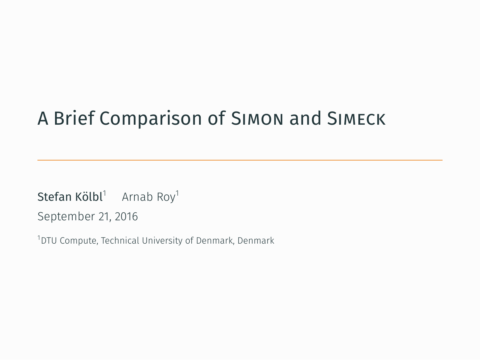## A Brief Comparison of Simon and Simeck

 $\mathsf{Stefan}\, \mathsf{K\"olbl}^1\quad$  Arnab Roy $^1$ 

September 21, 2016

<sup>1</sup>DTU Compute, Technical University of Denmark, Denmark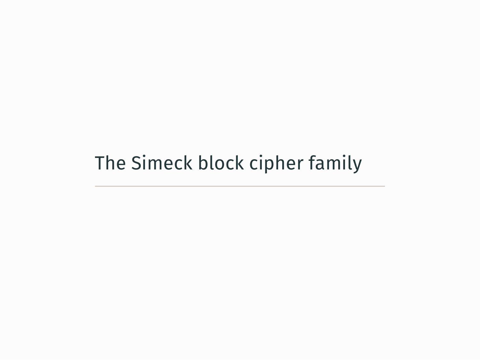The Simeck block cipher family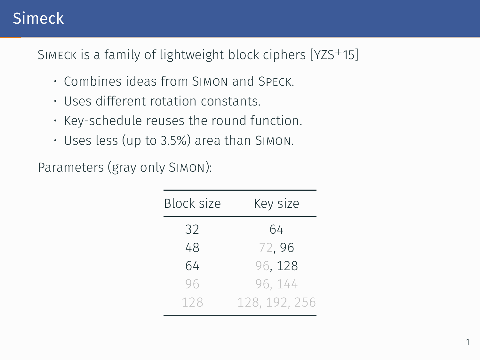## Simeck

SIMECK is a family of lightweight block ciphers [YZS<sup>+</sup>15]

- Combines ideas from Simon and Speck.
- Uses different rotation constants.
- Key-schedule reuses the round function.
- Uses less (up to 3.5%) area than Simon.

Parameters (gray only Simon):

| Block size | Key size      |  |  |
|------------|---------------|--|--|
| 32         | 64            |  |  |
| 48         | 72,96         |  |  |
| 64         | 96, 128       |  |  |
| 96         | 96, 144       |  |  |
| 128        | 128, 192, 256 |  |  |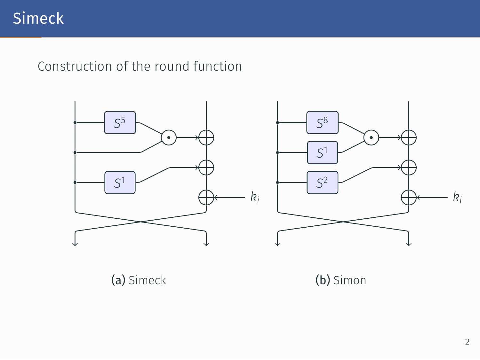## Simeck

#### Construction of the round function



(a) Simeck

(b) Simon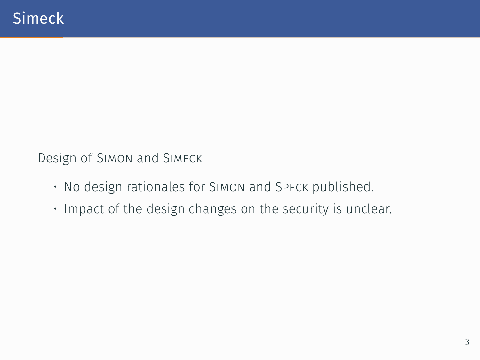Design of Simon and Simeck

- No design rationales for Simon and Speck published.
- Impact of the design changes on the security is unclear.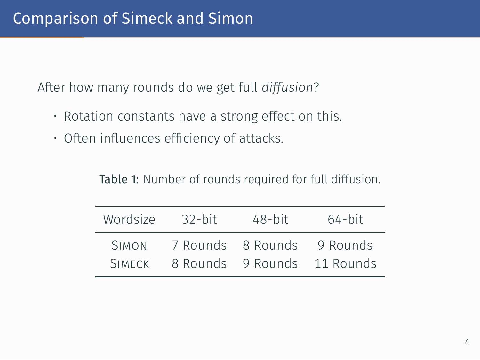After how many rounds do we get full *diffusion*?

- Rotation constants have a strong effect on this.
- Often influences efficiency of attacks.

| Table 1: Number of rounds required for full diffusion. |  |
|--------------------------------------------------------|--|
|--------------------------------------------------------|--|

| Wordsize      | $32$ -bit | $48$ -bit         | $64$ -bit |
|---------------|-----------|-------------------|-----------|
| <b>SIMON</b>  |           | 7 Rounds 8 Rounds | 9 Rounds  |
| <b>SIMFCK</b> |           | 8 Rounds 9 Rounds | 11 Rounds |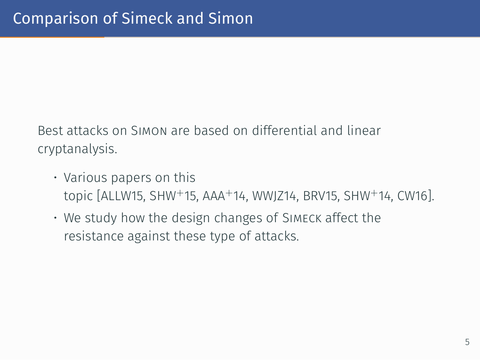Best attacks on Simon are based on differential and linear cryptanalysis.

- Various papers on this topic [ALLW15, SHW<sup>+</sup>15, AAA<sup>+</sup>14, WWJZ14, BRV15, SHW<sup>+</sup>14, CW16].
- We study how the design changes of Simeck affect the resistance against these type of attacks.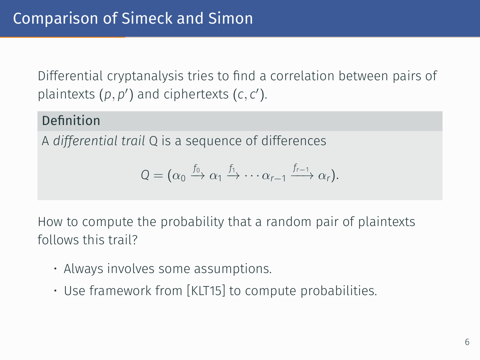Differential cryptanalysis tries to find a correlation between pairs of plaintexts  $(p, p')$  and ciphertexts  $(c, c')$ .

#### Definition

A *differential trail* Q is a sequence of differences

$$
Q = (\alpha_0 \xrightarrow{f_0} \alpha_1 \xrightarrow{f_1} \cdots \alpha_{r-1} \xrightarrow{f_{r-1}} \alpha_r).
$$

How to compute the probability that a random pair of plaintexts follows this trail?

- Always involves some assumptions.
- Use framework from [KLT15] to compute probabilities.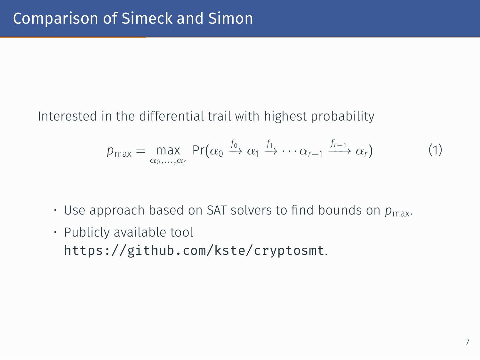Interested in the differential trail with highest probability

$$
p_{\max} = \max_{\alpha_0, ..., \alpha_r} \Pr(\alpha_0 \xrightarrow{f_0} \alpha_1 \xrightarrow{f_1} \cdots \alpha_{r-1} \xrightarrow{f_{r-1}} \alpha_r)
$$
(1)

- $\cdot$  Use approach based on SAT solvers to find bounds on  $p_{\text{max}}$ .
- Publicly available tool https://github.com/kste/cryptosmt.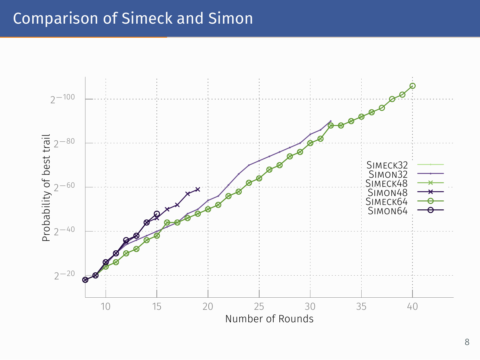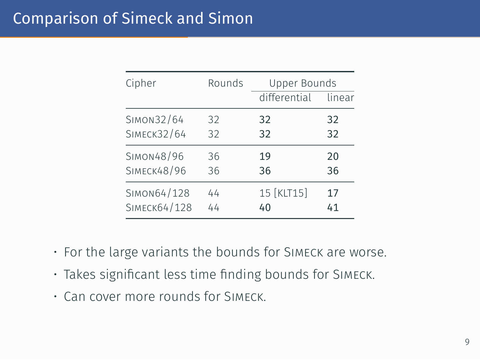| Cipher             | Rounds | Upper Bounds |        |
|--------------------|--------|--------------|--------|
|                    |        | differential | linear |
| SIMON32/64         | 32     | 32           | 32     |
| <b>SIMECK32/64</b> | 32     | 32           | 32     |
| SIMON48/96         | 36     | 19           | 20     |
| <b>SIMECK48/96</b> | 36     | 36           | 36     |
| SIMON64/128        | 44     | 15 [KLT15]   | 17     |
| SIMECK64/128       | 44     | 40           | 41     |

- For the large variants the bounds for Simeck are worse.
- Takes significant less time finding bounds for Simeck.
- Can cover more rounds for Simeck.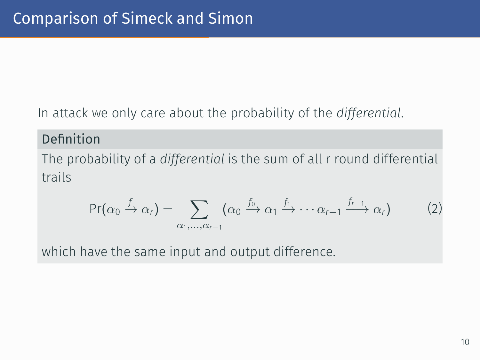#### In attack we only care about the probability of the *differential*.

#### Definition

The probability of a *differential* is the sum of all r round differential trails

$$
\Pr(\alpha_0 \xrightarrow{f} \alpha_r) = \sum_{\alpha_1, ..., \alpha_{r-1}} (\alpha_0 \xrightarrow{f_0} \alpha_1 \xrightarrow{f_1} \cdots \alpha_{r-1} \xrightarrow{f_{r-1}} \alpha_r)
$$
 (2)

which have the same input and output difference.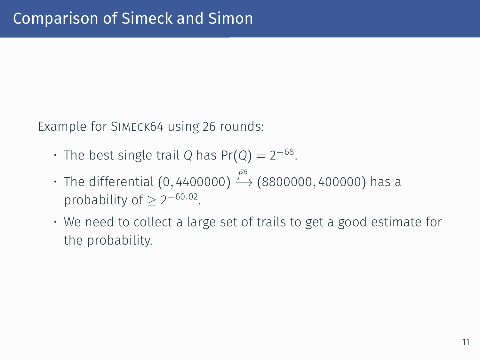Example for Simeck64 using 26 rounds:

- The best single trail *Q* has Pr(*Q*) = 2 *−*68 .
- The differential (0*,* 4400000) *f* 26 *−→* (8800000*,* 400000) has a probability of  $\geq 2^{-60.02}$ .
- We need to collect a large set of trails to get a good estimate for the probability.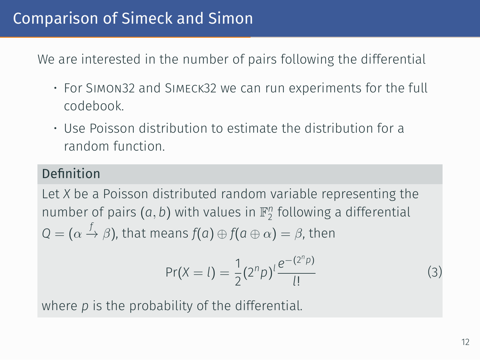We are interested in the number of pairs following the differential

- For Simon32 and Simeck32 we can run experiments for the full codebook.
- Use Poisson distribution to estimate the distribution for a random function.

#### Definition

Let *X* be a Poisson distributed random variable representing the number of pairs  $(a, b)$  with values in  $\mathbb{F}_2^n$  following a differential  $Q = (\alpha \stackrel{f}{\rightarrow} \beta)$ , that means  $f(a) \oplus f(a \oplus \alpha) = \beta$ , then

$$
Pr(X = l) = \frac{1}{2} (2^n p)^l \frac{e^{-(2^n p)}}{l!}
$$
 (3)

where *p* is the probability of the differential.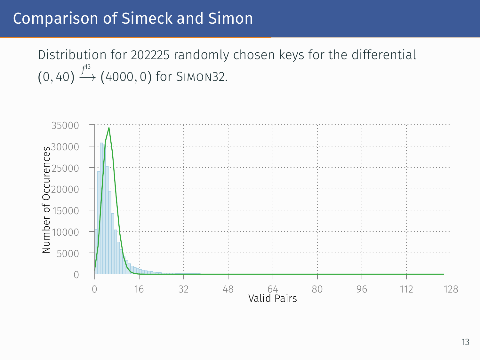Distribution for 202225 randomly chosen keys for the differential (0*,* 40) *f* 13 *−→* (4000*,* 0) for Simon32.

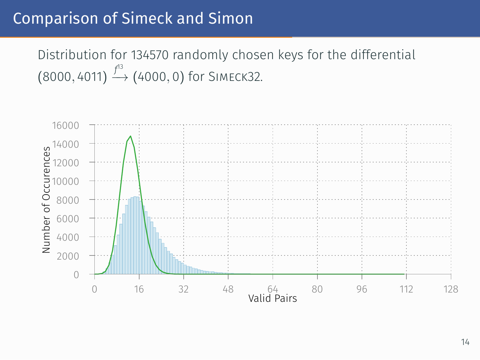Distribution for 134570 randomly chosen keys for the differential (8000*,* 4011) *f* 13 *−→* (4000*,* 0) for Simeck32.

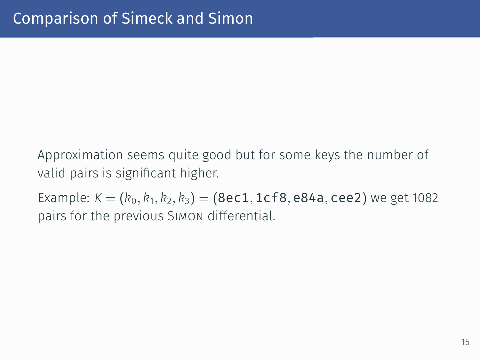Approximation seems quite good but for some keys the number of valid pairs is significant higher.

Example: *K* = (*k*0*, k*<sup>1</sup> *, k*2*, k*3) = (8ec1*,* 1cf8*,* e84a*,* cee2) we get 1082 pairs for the previous Simon differential.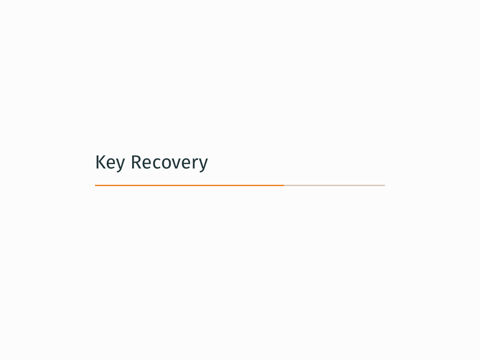Key Recovery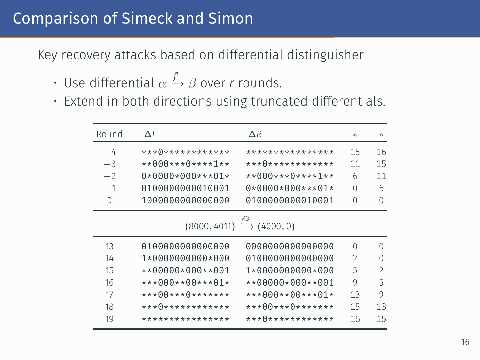Key recovery attacks based on differential distinguisher

- Use differential *α f r −→ β* over *r* rounds.
- Extend in both directions using truncated differentials.

| Round    | $\Delta I$         | $\Delta R$                                    | $\ast$ | $\ast$         |
|----------|--------------------|-----------------------------------------------|--------|----------------|
| $-4$     | ****************   | ****************                              | 15     | 16             |
| $-3$     | **000***0****1**   | *** 0 *************                           | 11     | 15             |
| $-2$     | $0*0000*000***01*$ | $***000***0***1***$                           | 6      | 11             |
| $-1$     | 0100000000010001   | $0*0000*000***01*$                            | 0      | 6              |
| $\Omega$ | 1000000000000000   | 0100000000010001                              | 0      | $\Omega$       |
|          |                    | $(8000, 4011) \xrightarrow{f^{13}} (4000, 0)$ |        |                |
| 13       | 0100000000000000   | 0000000000000000                              | O      | ∩              |
| 14       | $1*0000000000*000$ | 0100000000000000                              | 2      | O              |
| 15       | **00000*000**001   | $1*0000000000*000$                            | 5      | $\mathfrak{D}$ |
| 16       | ***000**00***01*   | $*$ *00000*000**001                           | 9      | 5              |
| 17       | ***00***0*******   | $***000***00***01*$                           | 13     | 9              |
| 18       | ****************   | *** 00 *** 0 *******                          | 15     | 13             |
| 19       | ****************   | ****************                              | 16     | 15             |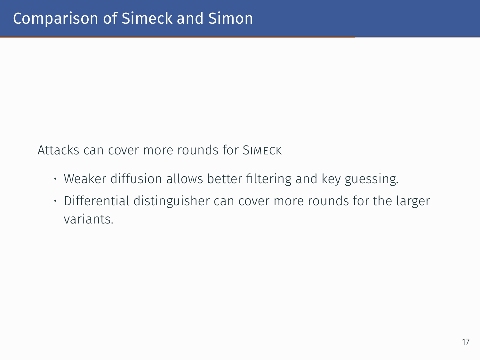Attacks can cover more rounds for Simeck

- Weaker diffusion allows better filtering and key guessing.
- Differential distinguisher can cover more rounds for the larger variants.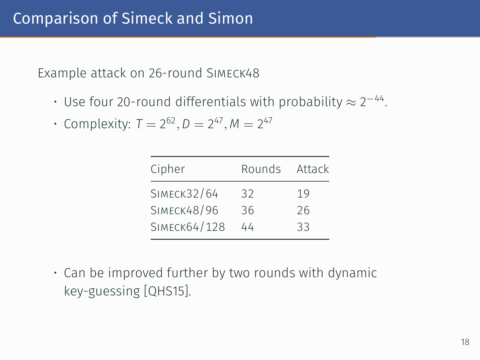Example attack on 26-round Simeck48

- Use four 20-round differentials with probability *≈* 2 *−*44 .
- Complexity:  $T = 2^{62}, D = 2^{47}, M = 2^{47}$

| Cipher             | Rounds | Attack |
|--------------------|--------|--------|
| <b>SIMECK32/64</b> | 32     | 19     |
| <b>SIMECK48/96</b> | 36     | 26     |
| SIMECK64/128       | 44     | 33     |

• Can be improved further by two rounds with dynamic key-guessing [QHS15].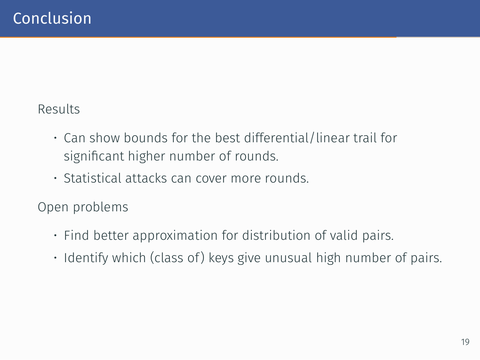#### Results

- Can show bounds for the best differential/linear trail for significant higher number of rounds.
- Statistical attacks can cover more rounds.

Open problems

- Find better approximation for distribution of valid pairs.
- $\cdot$  Identify which (class of) keys give unusual high number of pairs.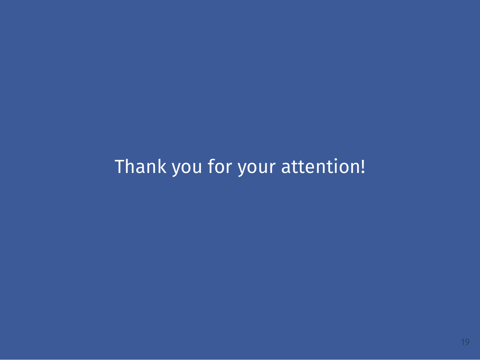## Thank you for your attention!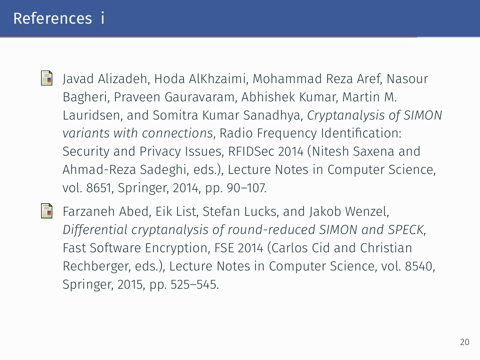#### References i

- 畐 Javad Alizadeh, Hoda AlKhzaimi, Mohammad Reza Aref, Nasour Bagheri, Praveen Gauravaram, Abhishek Kumar, Martin M. Lauridsen, and Somitra Kumar Sanadhya, *Cryptanalysis of SIMON variants with connections*, Radio Frequency Identification: Security and Privacy Issues, RFIDSec 2014 (Nitesh Saxena and Ahmad-Reza Sadeghi, eds.), Lecture Notes in Computer Science, vol. 8651, Springer, 2014, pp. 90–107.
- 記 Farzaneh Abed, Eik List, Stefan Lucks, and Jakob Wenzel, *Differential cryptanalysis of round-reduced SIMON and SPECK*, Fast Software Encryption, FSE 2014 (Carlos Cid and Christian Rechberger, eds.), Lecture Notes in Computer Science, vol. 8540, Springer, 2015, pp. 525–545.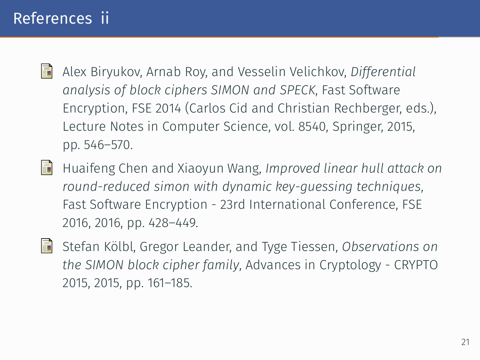### References ii

- Alex Biryukov, Arnab Roy, and Vesselin Velichkov, *Differential* 譶 *analysis of block ciphers SIMON and SPECK*, Fast Software Encryption, FSE 2014 (Carlos Cid and Christian Rechberger, eds.), Lecture Notes in Computer Science, vol. 8540, Springer, 2015, pp. 546–570.
- 冨 Huaifeng Chen and Xiaoyun Wang, *Improved linear hull attack on round-reduced simon with dynamic key-guessing techniques*, Fast Software Encryption - 23rd International Conference, FSE 2016, 2016, pp. 428–449.
- 螶 Stefan Kölbl, Gregor Leander, and Tyge Tiessen, *Observations on the SIMON block cipher family*, Advances in Cryptology - CRYPTO 2015, 2015, pp. 161–185.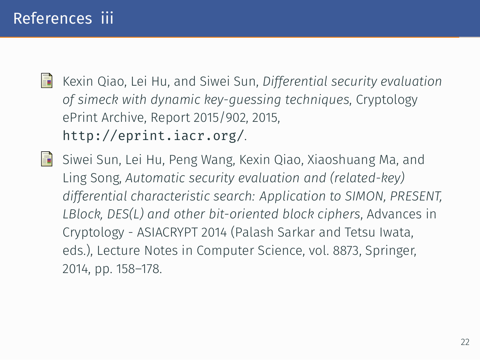## References iii

Kexin Qiao, Lei Hu, and Siwei Sun, *Differential security evaluation of simeck with dynamic key-guessing techniques*, Cryptology ePrint Archive, Report 2015/902, 2015, http://eprint.iacr.org/.

Siwei Sun, Lei Hu, Peng Wang, Kexin Qiao, Xiaoshuang Ma, and Ling Song, *Automatic security evaluation and (related-key) differential characteristic search: Application to SIMON, PRESENT, LBlock, DES(L) and other bit-oriented block ciphers*, Advances in Cryptology - ASIACRYPT 2014 (Palash Sarkar and Tetsu Iwata, eds.), Lecture Notes in Computer Science, vol. 8873, Springer, 2014, pp. 158–178.